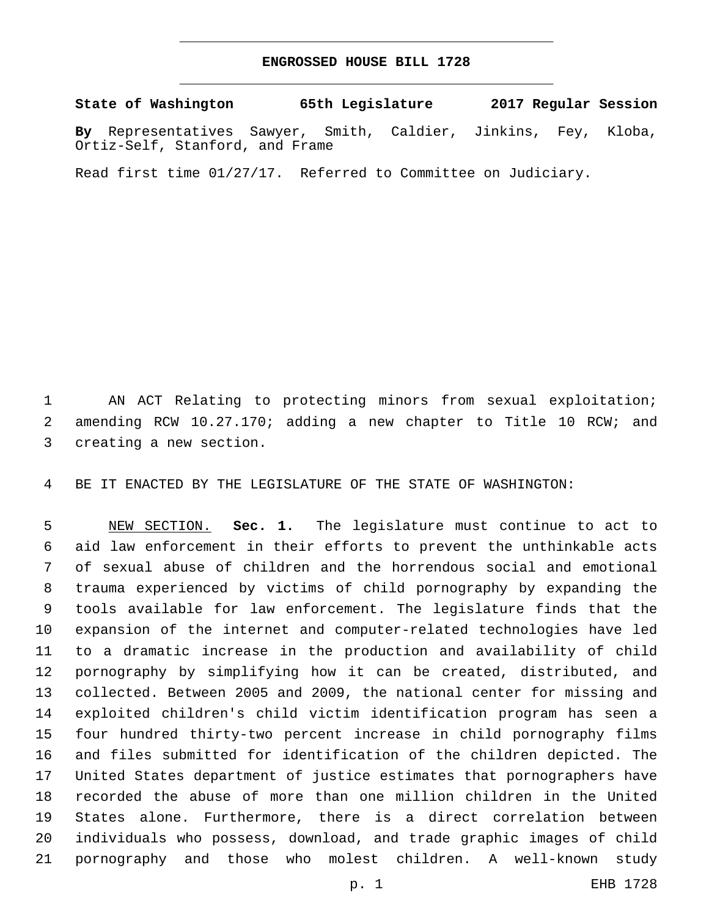## **ENGROSSED HOUSE BILL 1728**

**State of Washington 65th Legislature 2017 Regular Session**

**By** Representatives Sawyer, Smith, Caldier, Jinkins, Fey, Kloba, Ortiz-Self, Stanford, and Frame

Read first time 01/27/17. Referred to Committee on Judiciary.

 AN ACT Relating to protecting minors from sexual exploitation; amending RCW 10.27.170; adding a new chapter to Title 10 RCW; and 3 creating a new section.

BE IT ENACTED BY THE LEGISLATURE OF THE STATE OF WASHINGTON:

 NEW SECTION. **Sec. 1.** The legislature must continue to act to aid law enforcement in their efforts to prevent the unthinkable acts of sexual abuse of children and the horrendous social and emotional trauma experienced by victims of child pornography by expanding the tools available for law enforcement. The legislature finds that the expansion of the internet and computer-related technologies have led to a dramatic increase in the production and availability of child pornography by simplifying how it can be created, distributed, and collected. Between 2005 and 2009, the national center for missing and exploited children's child victim identification program has seen a four hundred thirty-two percent increase in child pornography films and files submitted for identification of the children depicted. The United States department of justice estimates that pornographers have recorded the abuse of more than one million children in the United States alone. Furthermore, there is a direct correlation between individuals who possess, download, and trade graphic images of child pornography and those who molest children. A well-known study

p. 1 EHB 1728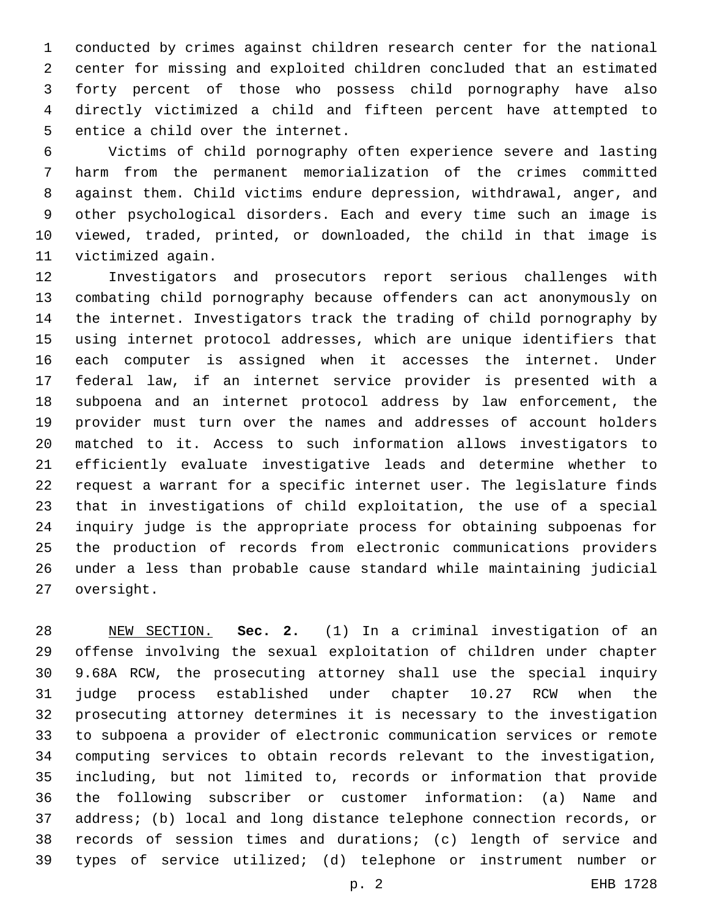conducted by crimes against children research center for the national center for missing and exploited children concluded that an estimated forty percent of those who possess child pornography have also directly victimized a child and fifteen percent have attempted to 5 entice a child over the internet.

 Victims of child pornography often experience severe and lasting harm from the permanent memorialization of the crimes committed against them. Child victims endure depression, withdrawal, anger, and other psychological disorders. Each and every time such an image is viewed, traded, printed, or downloaded, the child in that image is 11 victimized again.

 Investigators and prosecutors report serious challenges with combating child pornography because offenders can act anonymously on the internet. Investigators track the trading of child pornography by using internet protocol addresses, which are unique identifiers that each computer is assigned when it accesses the internet. Under federal law, if an internet service provider is presented with a subpoena and an internet protocol address by law enforcement, the provider must turn over the names and addresses of account holders matched to it. Access to such information allows investigators to efficiently evaluate investigative leads and determine whether to request a warrant for a specific internet user. The legislature finds that in investigations of child exploitation, the use of a special inquiry judge is the appropriate process for obtaining subpoenas for the production of records from electronic communications providers under a less than probable cause standard while maintaining judicial 27 oversight.

 NEW SECTION. **Sec. 2.** (1) In a criminal investigation of an offense involving the sexual exploitation of children under chapter 9.68A RCW, the prosecuting attorney shall use the special inquiry judge process established under chapter 10.27 RCW when the prosecuting attorney determines it is necessary to the investigation to subpoena a provider of electronic communication services or remote computing services to obtain records relevant to the investigation, including, but not limited to, records or information that provide the following subscriber or customer information: (a) Name and address; (b) local and long distance telephone connection records, or records of session times and durations; (c) length of service and types of service utilized; (d) telephone or instrument number or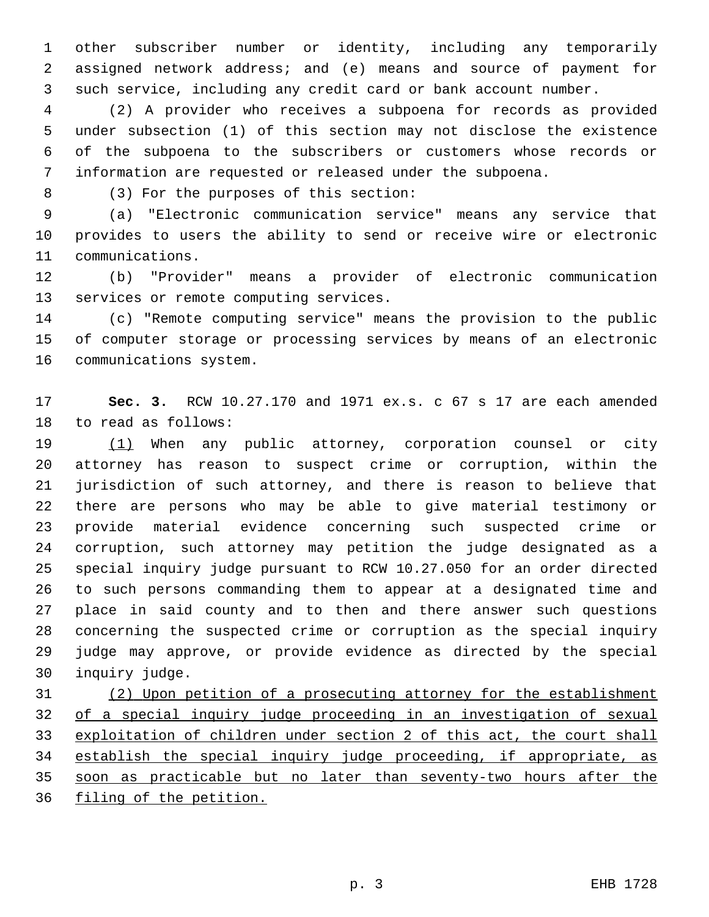other subscriber number or identity, including any temporarily assigned network address; and (e) means and source of payment for such service, including any credit card or bank account number.

 (2) A provider who receives a subpoena for records as provided under subsection (1) of this section may not disclose the existence of the subpoena to the subscribers or customers whose records or information are requested or released under the subpoena.

(3) For the purposes of this section:8

 (a) "Electronic communication service" means any service that provides to users the ability to send or receive wire or electronic 11 communications.

 (b) "Provider" means a provider of electronic communication 13 services or remote computing services.

 (c) "Remote computing service" means the provision to the public of computer storage or processing services by means of an electronic 16 communications system.

 **Sec. 3.** RCW 10.27.170 and 1971 ex.s. c 67 s 17 are each amended 18 to read as follows:

19 (1) When any public attorney, corporation counsel or city attorney has reason to suspect crime or corruption, within the jurisdiction of such attorney, and there is reason to believe that there are persons who may be able to give material testimony or provide material evidence concerning such suspected crime or corruption, such attorney may petition the judge designated as a special inquiry judge pursuant to RCW 10.27.050 for an order directed to such persons commanding them to appear at a designated time and place in said county and to then and there answer such questions concerning the suspected crime or corruption as the special inquiry judge may approve, or provide evidence as directed by the special 30 inquiry judge.

 (2) Upon petition of a prosecuting attorney for the establishment of a special inquiry judge proceeding in an investigation of sexual exploitation of children under section 2 of this act, the court shall 34 establish the special inquiry judge proceeding, if appropriate, as soon as practicable but no later than seventy-two hours after the filing of the petition.